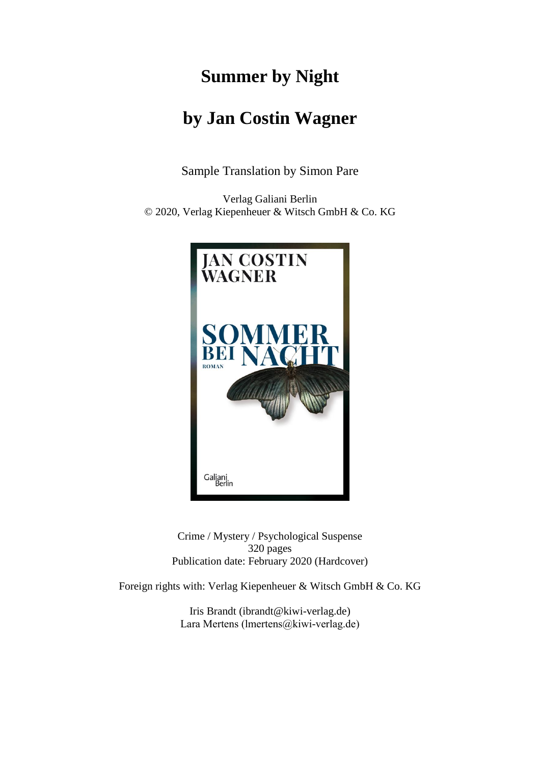# **Summer by Night**

## **by Jan Costin Wagner**

Sample Translation by Simon Pare

Verlag Galiani Berlin © 2020, Verlag Kiepenheuer & Witsch GmbH & Co. KG



Crime / Mystery / Psychological Suspense 320 pages Publication date: February 2020 (Hardcover)

Foreign rights with: Verlag Kiepenheuer & Witsch GmbH & Co. KG

Iris Brandt [\(ibrandt@kiwi-verlag.de\)](mailto:ibrandt@kiwi-verlag.de) Lara Mertens (lmertens@kiwi-verlag.de)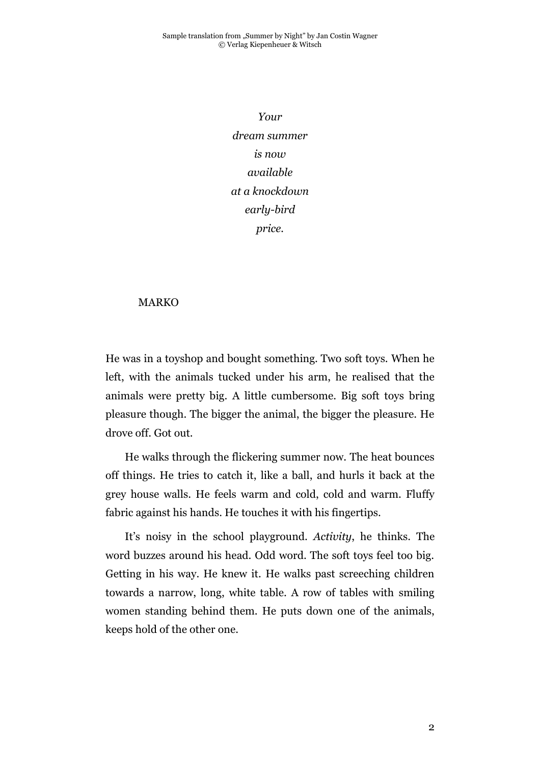*Your dream summer is now available at a knockdown early-bird price.*

#### MARKO

He was in a toyshop and bought something. Two soft toys. When he left, with the animals tucked under his arm, he realised that the animals were pretty big. A little cumbersome. Big soft toys bring pleasure though. The bigger the animal, the bigger the pleasure. He drove off. Got out.

He walks through the flickering summer now. The heat bounces off things. He tries to catch it, like a ball, and hurls it back at the grey house walls. He feels warm and cold, cold and warm. Fluffy fabric against his hands. He touches it with his fingertips.

It's noisy in the school playground. *Activity*, he thinks. The word buzzes around his head. Odd word. The soft toys feel too big. Getting in his way. He knew it. He walks past screeching children towards a narrow, long, white table. A row of tables with smiling women standing behind them. He puts down one of the animals, keeps hold of the other one.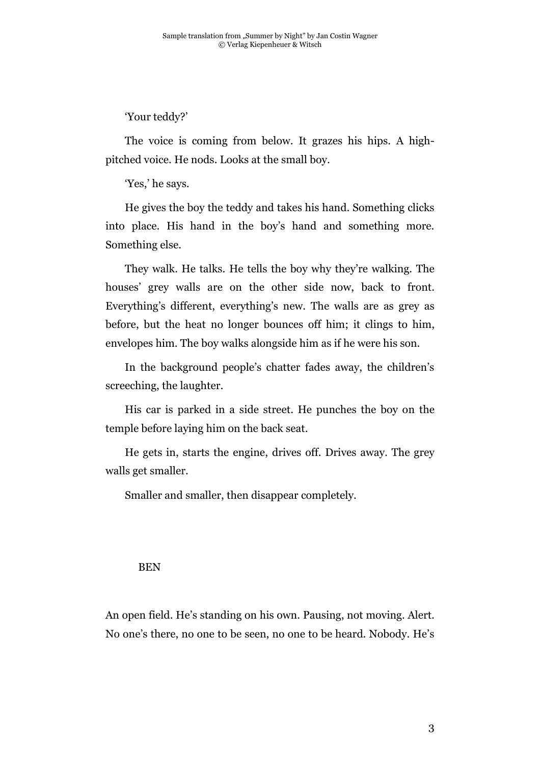'Your teddy?'

The voice is coming from below. It grazes his hips. A highpitched voice. He nods. Looks at the small boy.

'Yes,' he says.

He gives the boy the teddy and takes his hand. Something clicks into place. His hand in the boy's hand and something more. Something else.

They walk. He talks. He tells the boy why they're walking. The houses' grey walls are on the other side now, back to front. Everything's different, everything's new. The walls are as grey as before, but the heat no longer bounces off him; it clings to him, envelopes him. The boy walks alongside him as if he were his son.

In the background people's chatter fades away, the children's screeching, the laughter.

His car is parked in a side street. He punches the boy on the temple before laying him on the back seat.

He gets in, starts the engine, drives off. Drives away. The grey walls get smaller.

Smaller and smaller, then disappear completely.

#### BEN

An open field. He's standing on his own. Pausing, not moving. Alert. No one's there, no one to be seen, no one to be heard. Nobody. He's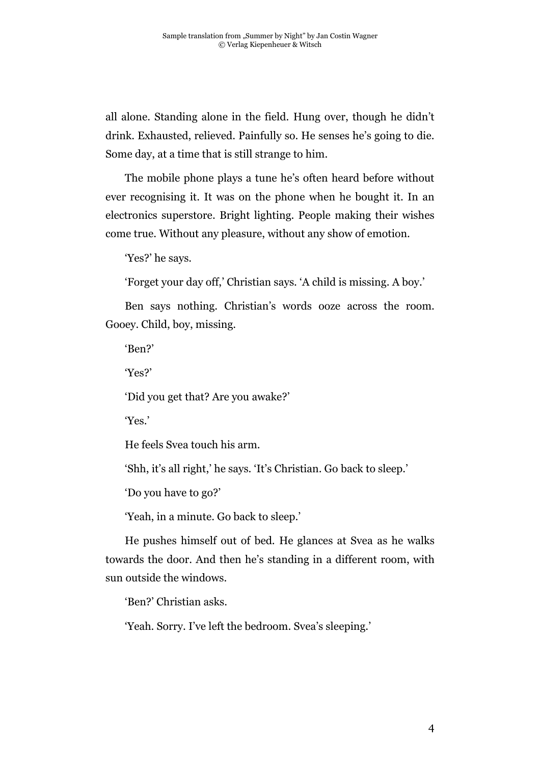all alone. Standing alone in the field. Hung over, though he didn't drink. Exhausted, relieved. Painfully so. He senses he's going to die. Some day, at a time that is still strange to him.

The mobile phone plays a tune he's often heard before without ever recognising it. It was on the phone when he bought it. In an electronics superstore. Bright lighting. People making their wishes come true. Without any pleasure, without any show of emotion.

'Yes?' he says.

'Forget your day off,' Christian says. 'A child is missing. A boy.'

Ben says nothing. Christian's words ooze across the room. Gooey. Child, boy, missing.

'Ben?'

'Yes?'

'Did you get that? Are you awake?'

'Yes.'

He feels Svea touch his arm.

'Shh, it's all right,' he says. 'It's Christian. Go back to sleep.'

'Do you have to go?'

'Yeah, in a minute. Go back to sleep.'

He pushes himself out of bed. He glances at Svea as he walks towards the door. And then he's standing in a different room, with sun outside the windows.

'Ben?' Christian asks.

'Yeah. Sorry. I've left the bedroom. Svea's sleeping.'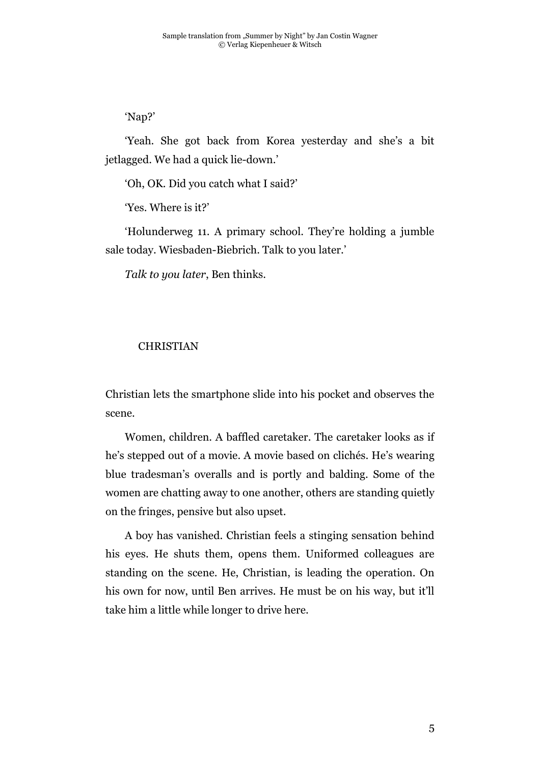## 'Nap?'

'Yeah. She got back from Korea yesterday and she's a bit jetlagged. We had a quick lie-down.'

'Oh, OK. Did you catch what I said?'

'Yes. Where is it?'

'Holunderweg 11. A primary school. They're holding a jumble sale today. Wiesbaden-Biebrich. Talk to you later.'

*Talk to you later*, Ben thinks.

### CHRISTIAN

Christian lets the smartphone slide into his pocket and observes the scene.

Women, children. A baffled caretaker. The caretaker looks as if he's stepped out of a movie. A movie based on clichés. He's wearing blue tradesman's overalls and is portly and balding. Some of the women are chatting away to one another, others are standing quietly on the fringes, pensive but also upset.

A boy has vanished. Christian feels a stinging sensation behind his eyes. He shuts them, opens them. Uniformed colleagues are standing on the scene. He, Christian, is leading the operation. On his own for now, until Ben arrives. He must be on his way, but it'll take him a little while longer to drive here.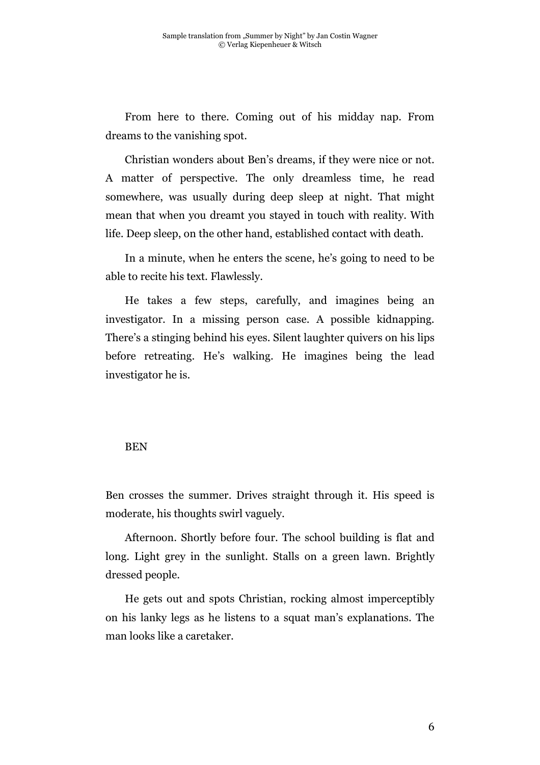From here to there. Coming out of his midday nap. From dreams to the vanishing spot.

Christian wonders about Ben's dreams, if they were nice or not. A matter of perspective. The only dreamless time, he read somewhere, was usually during deep sleep at night. That might mean that when you dreamt you stayed in touch with reality. With life. Deep sleep, on the other hand, established contact with death.

In a minute, when he enters the scene, he's going to need to be able to recite his text. Flawlessly.

He takes a few steps, carefully, and imagines being an investigator. In a missing person case. A possible kidnapping. There's a stinging behind his eyes. Silent laughter quivers on his lips before retreating. He's walking. He imagines being the lead investigator he is.

#### BEN

Ben crosses the summer. Drives straight through it. His speed is moderate, his thoughts swirl vaguely.

Afternoon. Shortly before four. The school building is flat and long. Light grey in the sunlight. Stalls on a green lawn. Brightly dressed people.

He gets out and spots Christian, rocking almost imperceptibly on his lanky legs as he listens to a squat man's explanations. The man looks like a caretaker.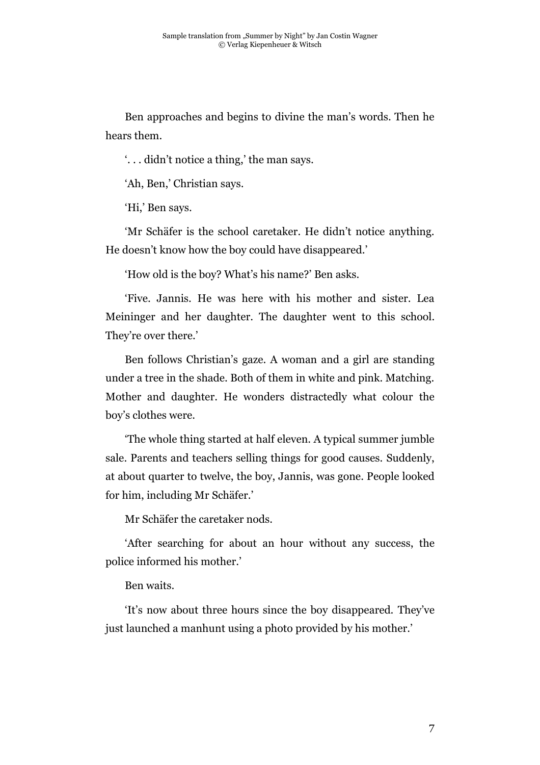Ben approaches and begins to divine the man's words. Then he hears them.

'. . . didn't notice a thing,' the man says.

'Ah, Ben,' Christian says.

'Hi,' Ben says.

'Mr Schäfer is the school caretaker. He didn't notice anything. He doesn't know how the boy could have disappeared.'

'How old is the boy? What's his name?' Ben asks.

'Five. Jannis. He was here with his mother and sister. Lea Meininger and her daughter. The daughter went to this school. They're over there.'

Ben follows Christian's gaze. A woman and a girl are standing under a tree in the shade. Both of them in white and pink. Matching. Mother and daughter. He wonders distractedly what colour the boy's clothes were.

'The whole thing started at half eleven. A typical summer jumble sale. Parents and teachers selling things for good causes. Suddenly, at about quarter to twelve, the boy, Jannis, was gone. People looked for him, including Mr Schäfer.'

Mr Schäfer the caretaker nods.

'After searching for about an hour without any success, the police informed his mother.'

#### Ben waits.

'It's now about three hours since the boy disappeared. They've just launched a manhunt using a photo provided by his mother.'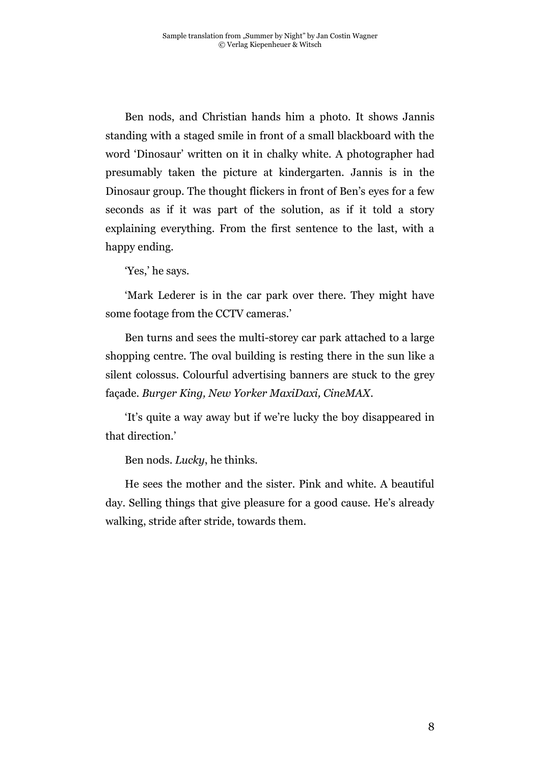Ben nods, and Christian hands him a photo. It shows Jannis standing with a staged smile in front of a small blackboard with the word 'Dinosaur' written on it in chalky white. A photographer had presumably taken the picture at kindergarten. Jannis is in the Dinosaur group. The thought flickers in front of Ben's eyes for a few seconds as if it was part of the solution, as if it told a story explaining everything. From the first sentence to the last, with a happy ending.

'Yes,' he says.

'Mark Lederer is in the car park over there. They might have some footage from the CCTV cameras.'

Ben turns and sees the multi-storey car park attached to a large shopping centre. The oval building is resting there in the sun like a silent colossus. Colourful advertising banners are stuck to the grey façade. *Burger King, New Yorker MaxiDaxi, CineMAX*.

'It's quite a way away but if we're lucky the boy disappeared in that direction.'

Ben nods. *Lucky*, he thinks.

He sees the mother and the sister. Pink and white. A beautiful day. Selling things that give pleasure for a good cause. He's already walking, stride after stride, towards them.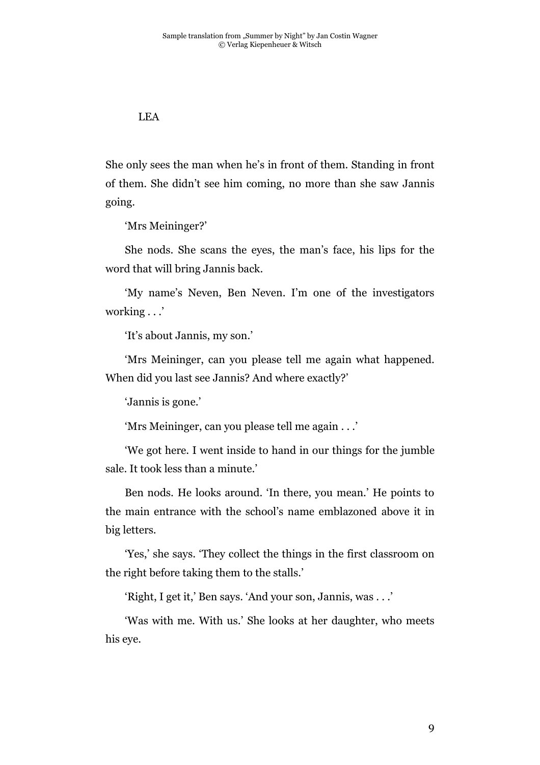## LEA

She only sees the man when he's in front of them. Standing in front of them. She didn't see him coming, no more than she saw Jannis going.

'Mrs Meininger?'

She nods. She scans the eyes, the man's face, his lips for the word that will bring Jannis back.

'My name's Neven, Ben Neven. I'm one of the investigators working . . .'

'It's about Jannis, my son.'

'Mrs Meininger, can you please tell me again what happened. When did you last see Jannis? And where exactly?'

'Jannis is gone.'

'Mrs Meininger, can you please tell me again . . .'

'We got here. I went inside to hand in our things for the jumble sale. It took less than a minute.'

Ben nods. He looks around. 'In there, you mean.' He points to the main entrance with the school's name emblazoned above it in big letters.

'Yes,' she says. 'They collect the things in the first classroom on the right before taking them to the stalls.'

'Right, I get it,' Ben says. 'And your son, Jannis, was . . .'

'Was with me. With us.' She looks at her daughter, who meets his eye.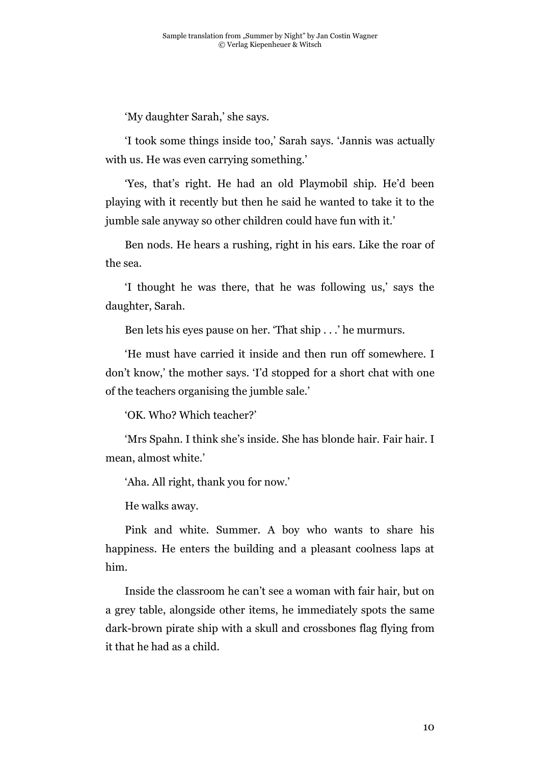'My daughter Sarah,' she says.

'I took some things inside too,' Sarah says. 'Jannis was actually with us. He was even carrying something.'

'Yes, that's right. He had an old Playmobil ship. He'd been playing with it recently but then he said he wanted to take it to the jumble sale anyway so other children could have fun with it.'

Ben nods. He hears a rushing, right in his ears. Like the roar of the sea.

'I thought he was there, that he was following us,' says the daughter, Sarah.

Ben lets his eyes pause on her. 'That ship . . .' he murmurs.

'He must have carried it inside and then run off somewhere. I don't know,' the mother says. 'I'd stopped for a short chat with one of the teachers organising the jumble sale.'

'OK. Who? Which teacher?'

'Mrs Spahn. I think she's inside. She has blonde hair. Fair hair. I mean, almost white.'

'Aha. All right, thank you for now.'

He walks away.

Pink and white. Summer. A boy who wants to share his happiness. He enters the building and a pleasant coolness laps at him.

Inside the classroom he can't see a woman with fair hair, but on a grey table, alongside other items, he immediately spots the same dark-brown pirate ship with a skull and crossbones flag flying from it that he had as a child.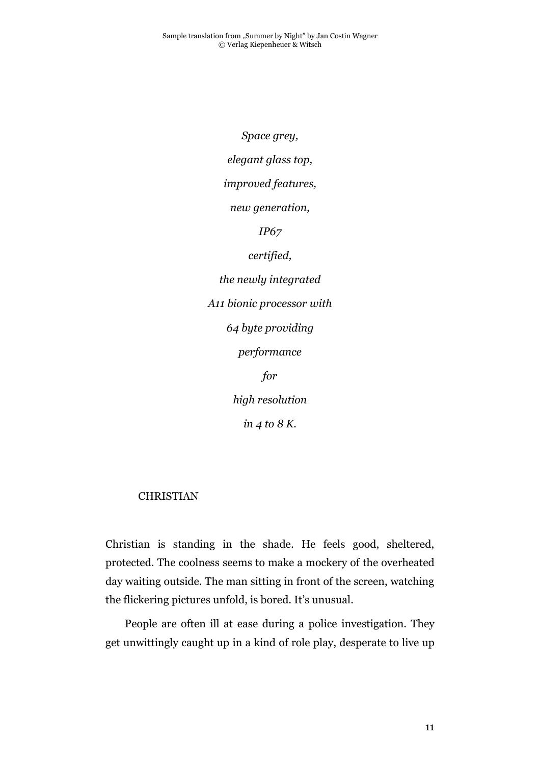*Space grey, elegant glass top, improved features, new generation, IP67 certified, the newly integrated A11 bionic processor with 64 byte providing performance for high resolution in 4 to 8 K.*

### CHRISTIAN

Christian is standing in the shade. He feels good, sheltered, protected. The coolness seems to make a mockery of the overheated day waiting outside. The man sitting in front of the screen, watching the flickering pictures unfold, is bored. It's unusual.

People are often ill at ease during a police investigation. They get unwittingly caught up in a kind of role play, desperate to live up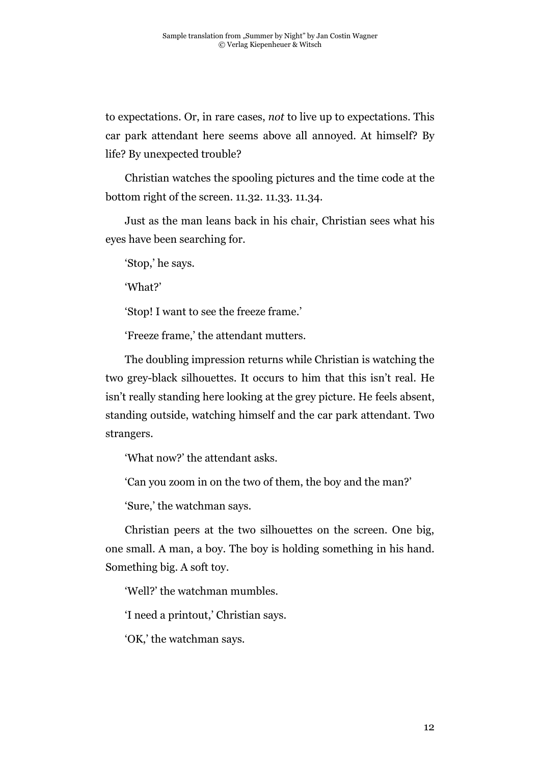to expectations. Or, in rare cases, *not* to live up to expectations. This car park attendant here seems above all annoyed. At himself? By life? By unexpected trouble?

Christian watches the spooling pictures and the time code at the bottom right of the screen. 11.32. 11.33. 11.34.

Just as the man leans back in his chair, Christian sees what his eyes have been searching for.

'Stop,' he says.

'What?'

'Stop! I want to see the freeze frame.'

'Freeze frame,' the attendant mutters.

The doubling impression returns while Christian is watching the two grey-black silhouettes. It occurs to him that this isn't real. He isn't really standing here looking at the grey picture. He feels absent, standing outside, watching himself and the car park attendant. Two strangers.

'What now?' the attendant asks.

'Can you zoom in on the two of them, the boy and the man?'

'Sure,' the watchman says.

Christian peers at the two silhouettes on the screen. One big, one small. A man, a boy. The boy is holding something in his hand. Something big. A soft toy.

'Well?' the watchman mumbles.

'I need a printout,' Christian says.

'OK,' the watchman says.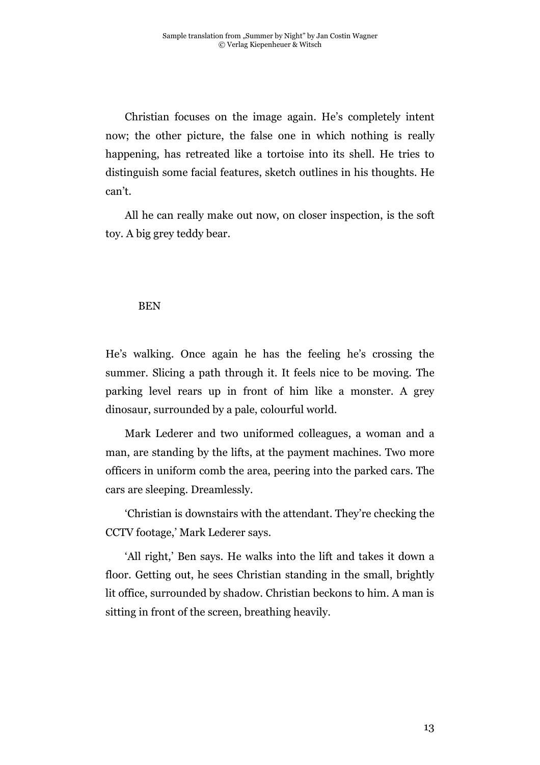Christian focuses on the image again. He's completely intent now; the other picture, the false one in which nothing is really happening, has retreated like a tortoise into its shell. He tries to distinguish some facial features, sketch outlines in his thoughts. He can't.

All he can really make out now, on closer inspection, is the soft toy. A big grey teddy bear.

### BEN

He's walking. Once again he has the feeling he's crossing the summer. Slicing a path through it. It feels nice to be moving. The parking level rears up in front of him like a monster. A grey dinosaur, surrounded by a pale, colourful world.

Mark Lederer and two uniformed colleagues, a woman and a man, are standing by the lifts, at the payment machines. Two more officers in uniform comb the area, peering into the parked cars. The cars are sleeping. Dreamlessly.

'Christian is downstairs with the attendant. They're checking the CCTV footage,' Mark Lederer says.

'All right,' Ben says. He walks into the lift and takes it down a floor. Getting out, he sees Christian standing in the small, brightly lit office, surrounded by shadow. Christian beckons to him. A man is sitting in front of the screen, breathing heavily.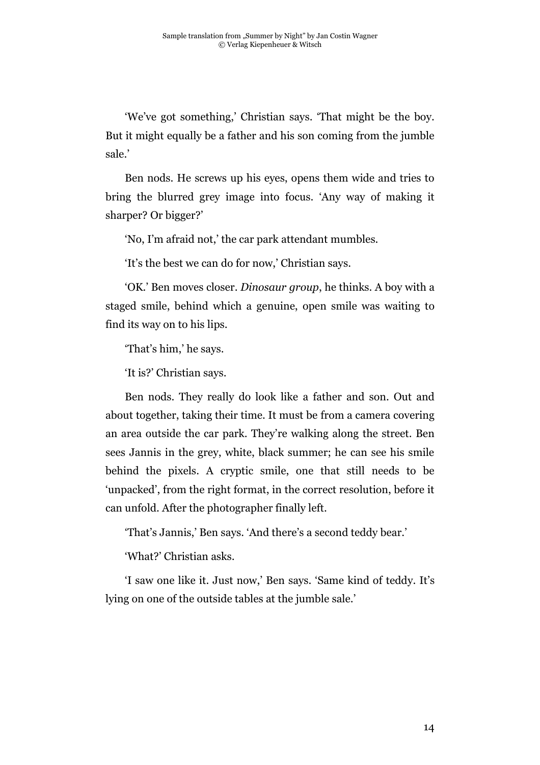'We've got something,' Christian says. 'That might be the boy. But it might equally be a father and his son coming from the jumble sale.'

Ben nods. He screws up his eyes, opens them wide and tries to bring the blurred grey image into focus. 'Any way of making it sharper? Or bigger?'

'No, I'm afraid not,' the car park attendant mumbles.

'It's the best we can do for now,' Christian says.

'OK.' Ben moves closer. *Dinosaur group*, he thinks. A boy with a staged smile, behind which a genuine, open smile was waiting to find its way on to his lips.

'That's him,' he says.

'It is?' Christian says.

Ben nods. They really do look like a father and son. Out and about together, taking their time. It must be from a camera covering an area outside the car park. They're walking along the street. Ben sees Jannis in the grey, white, black summer; he can see his smile behind the pixels. A cryptic smile, one that still needs to be 'unpacked', from the right format, in the correct resolution, before it can unfold. After the photographer finally left.

'That's Jannis,' Ben says. 'And there's a second teddy bear.'

'What?' Christian asks.

'I saw one like it. Just now,' Ben says. 'Same kind of teddy. It's lying on one of the outside tables at the jumble sale.'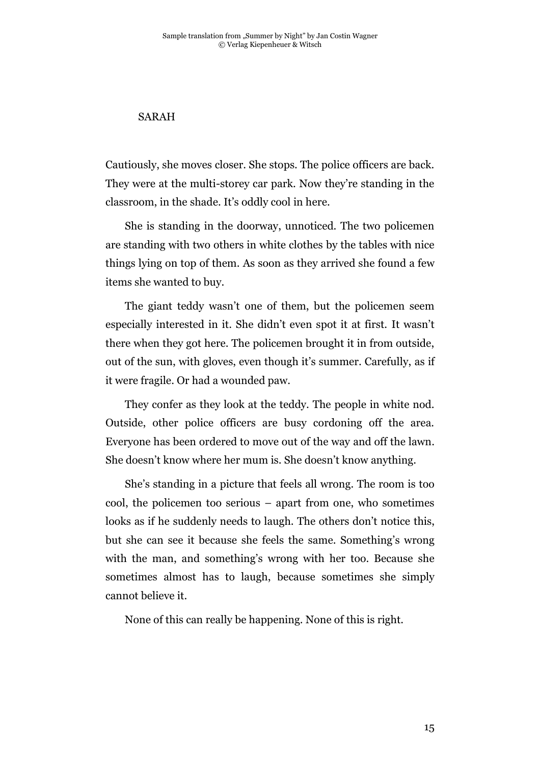## SARAH

Cautiously, she moves closer. She stops. The police officers are back. They were at the multi-storey car park. Now they're standing in the classroom, in the shade. It's oddly cool in here.

She is standing in the doorway, unnoticed. The two policemen are standing with two others in white clothes by the tables with nice things lying on top of them. As soon as they arrived she found a few items she wanted to buy.

The giant teddy wasn't one of them, but the policemen seem especially interested in it. She didn't even spot it at first. It wasn't there when they got here. The policemen brought it in from outside, out of the sun, with gloves, even though it's summer. Carefully, as if it were fragile. Or had a wounded paw.

They confer as they look at the teddy. The people in white nod. Outside, other police officers are busy cordoning off the area. Everyone has been ordered to move out of the way and off the lawn. She doesn't know where her mum is. She doesn't know anything.

She's standing in a picture that feels all wrong. The room is too cool, the policemen too serious – apart from one, who sometimes looks as if he suddenly needs to laugh. The others don't notice this, but she can see it because she feels the same. Something's wrong with the man, and something's wrong with her too. Because she sometimes almost has to laugh, because sometimes she simply cannot believe it.

None of this can really be happening. None of this is right.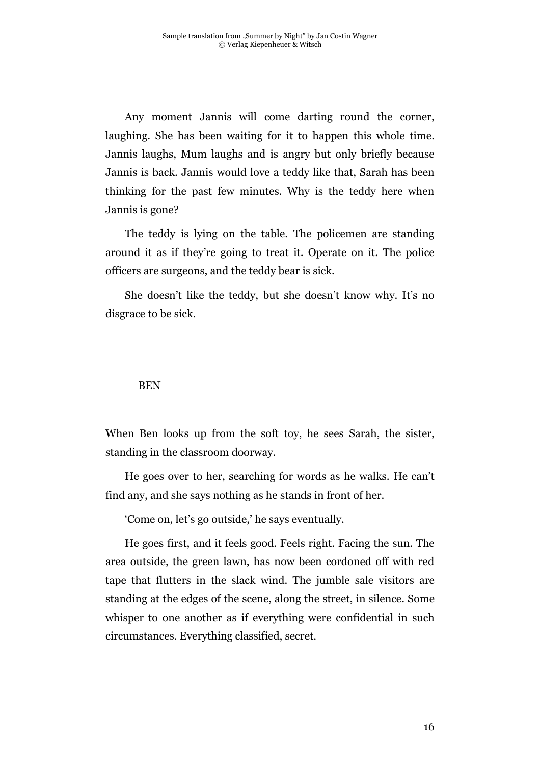Any moment Jannis will come darting round the corner, laughing. She has been waiting for it to happen this whole time. Jannis laughs, Mum laughs and is angry but only briefly because Jannis is back. Jannis would love a teddy like that, Sarah has been thinking for the past few minutes. Why is the teddy here when Jannis is gone?

The teddy is lying on the table. The policemen are standing around it as if they're going to treat it. Operate on it. The police officers are surgeons, and the teddy bear is sick.

She doesn't like the teddy, but she doesn't know why. It's no disgrace to be sick.

#### BEN

When Ben looks up from the soft toy, he sees Sarah, the sister, standing in the classroom doorway.

He goes over to her, searching for words as he walks. He can't find any, and she says nothing as he stands in front of her.

'Come on, let's go outside,' he says eventually.

He goes first, and it feels good. Feels right. Facing the sun. The area outside, the green lawn, has now been cordoned off with red tape that flutters in the slack wind. The jumble sale visitors are standing at the edges of the scene, along the street, in silence. Some whisper to one another as if everything were confidential in such circumstances. Everything classified, secret.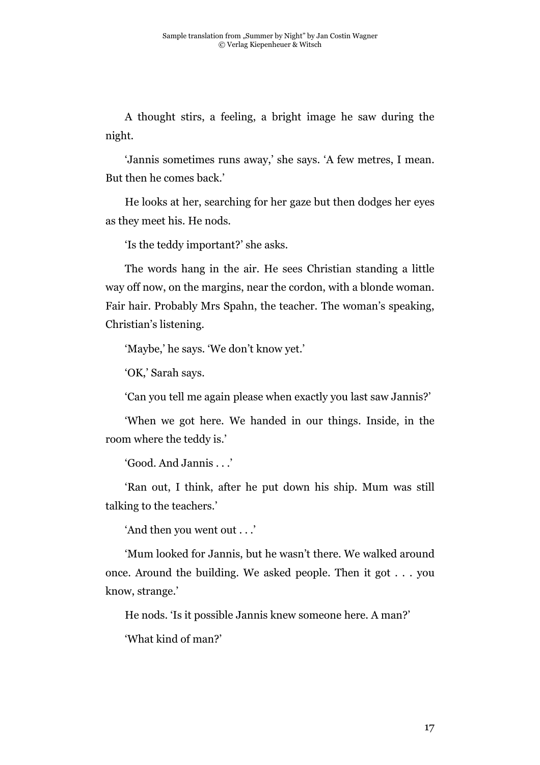A thought stirs, a feeling, a bright image he saw during the night.

'Jannis sometimes runs away,' she says. 'A few metres, I mean. But then he comes back.'

He looks at her, searching for her gaze but then dodges her eyes as they meet his. He nods.

'Is the teddy important?' she asks.

The words hang in the air. He sees Christian standing a little way off now, on the margins, near the cordon, with a blonde woman. Fair hair. Probably Mrs Spahn, the teacher. The woman's speaking, Christian's listening.

'Maybe,' he says. 'We don't know yet.'

'OK,' Sarah says.

'Can you tell me again please when exactly you last saw Jannis?'

'When we got here. We handed in our things. Inside, in the room where the teddy is.'

'Good. And Jannis . . .'

'Ran out, I think, after he put down his ship. Mum was still talking to the teachers.'

'And then you went out . . .'

'Mum looked for Jannis, but he wasn't there. We walked around once. Around the building. We asked people. Then it got . . . you know, strange.'

He nods. 'Is it possible Jannis knew someone here. A man?'

'What kind of man?'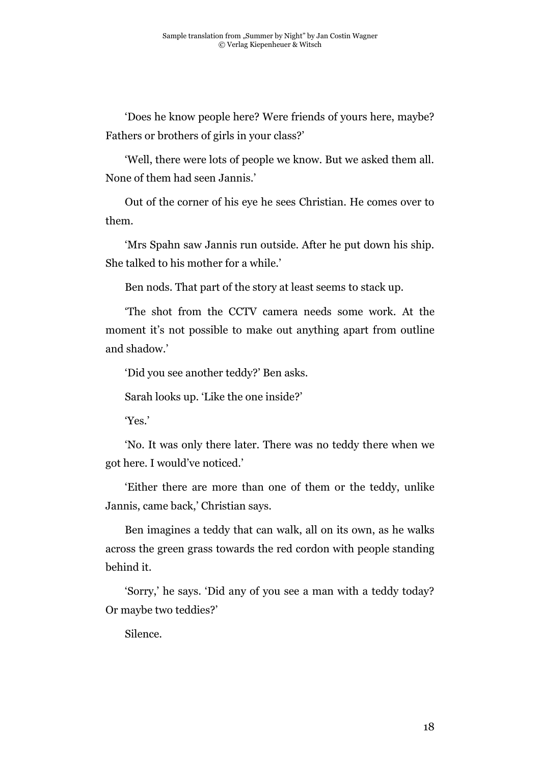'Does he know people here? Were friends of yours here, maybe? Fathers or brothers of girls in your class?'

'Well, there were lots of people we know. But we asked them all. None of them had seen Jannis.'

Out of the corner of his eye he sees Christian. He comes over to them.

'Mrs Spahn saw Jannis run outside. After he put down his ship. She talked to his mother for a while.'

Ben nods. That part of the story at least seems to stack up.

'The shot from the CCTV camera needs some work. At the moment it's not possible to make out anything apart from outline and shadow.'

'Did you see another teddy?' Ben asks.

Sarah looks up. 'Like the one inside?'

'Yes.'

'No. It was only there later. There was no teddy there when we got here. I would've noticed.'

'Either there are more than one of them or the teddy, unlike Jannis, came back,' Christian says.

Ben imagines a teddy that can walk, all on its own, as he walks across the green grass towards the red cordon with people standing behind it.

'Sorry,' he says. 'Did any of you see a man with a teddy today? Or maybe two teddies?'

Silence.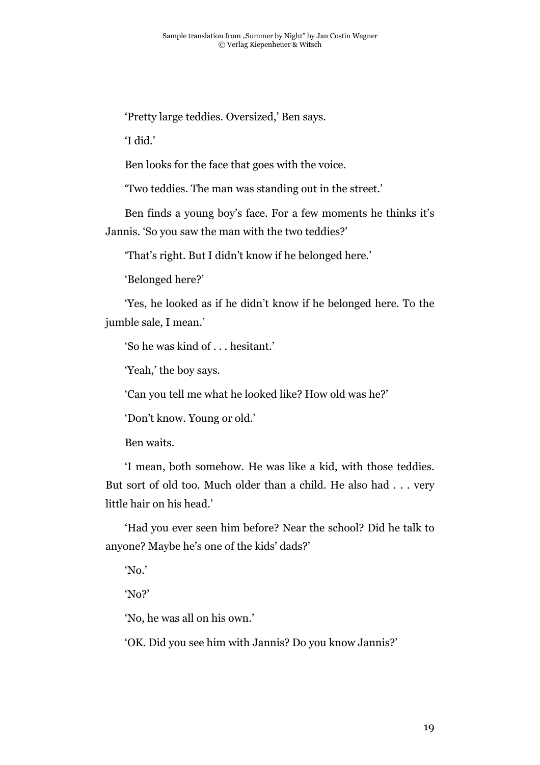'Pretty large teddies. Oversized,' Ben says.

'I did.'

Ben looks for the face that goes with the voice.

'Two teddies. The man was standing out in the street.'

Ben finds a young boy's face. For a few moments he thinks it's

Jannis. 'So you saw the man with the two teddies?'

'That's right. But I didn't know if he belonged here.'

'Belonged here?'

'Yes, he looked as if he didn't know if he belonged here. To the jumble sale, I mean.'

'So he was kind of . . . hesitant.'

'Yeah,' the boy says.

'Can you tell me what he looked like? How old was he?'

'Don't know. Young or old.'

Ben waits.

'I mean, both somehow. He was like a kid, with those teddies. But sort of old too. Much older than a child. He also had . . . very little hair on his head.'

'Had you ever seen him before? Near the school? Did he talk to anyone? Maybe he's one of the kids' dads?'

'No.'

'No?'

'No, he was all on his own.'

'OK. Did you see him with Jannis? Do you know Jannis?'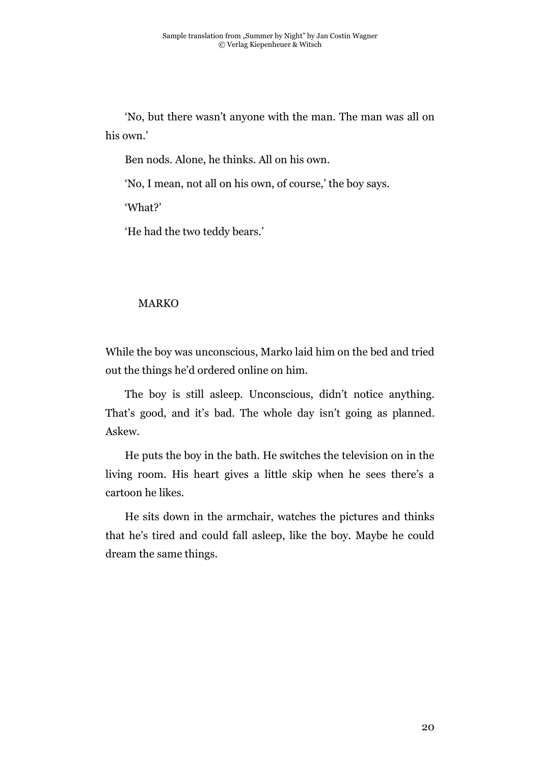'No, but there wasn't anyone with the man. The man was all on his own.'

Ben nods. Alone, he thinks. All on his own.

'No, I mean, not all on his own, of course,' the boy says.

'What?'

'He had the two teddy bears.'

## MARKO

While the boy was unconscious, Marko laid him on the bed and tried out the things he'd ordered online on him.

The boy is still asleep. Unconscious, didn't notice anything. That's good, and it's bad. The whole day isn't going as planned. Askew.

He puts the boy in the bath. He switches the television on in the living room. His heart gives a little skip when he sees there's a cartoon he likes.

He sits down in the armchair, watches the pictures and thinks that he's tired and could fall asleep, like the boy. Maybe he could dream the same things.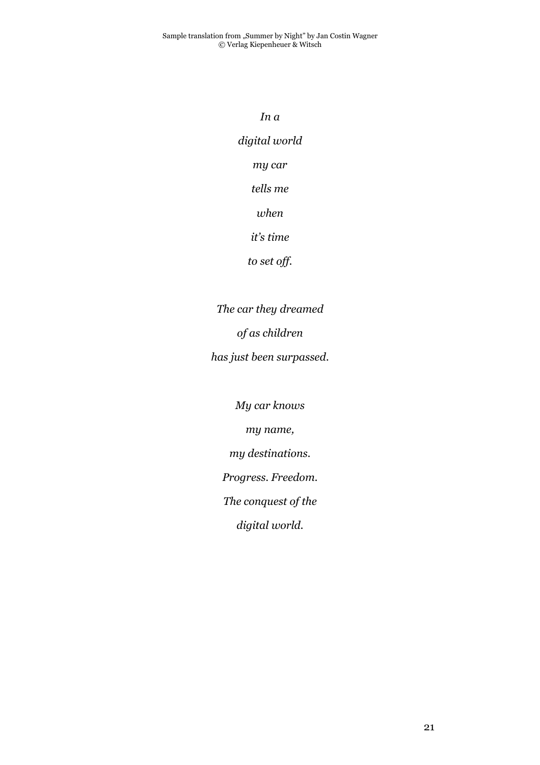*In a digital world my car tells me when it's time to set off.*

*The car they dreamed of as children has just been surpassed.*

> *My car knows my name, my destinations.*

*Progress. Freedom.*

*The conquest of the*

*digital world.*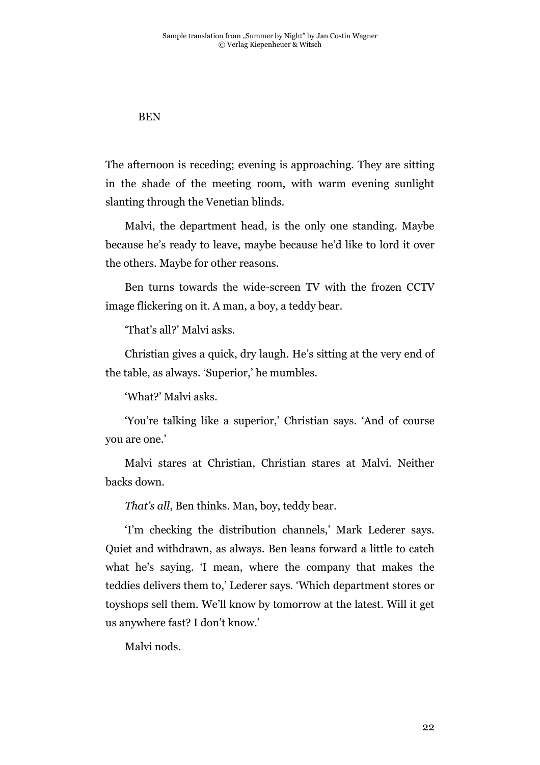### BEN

The afternoon is receding; evening is approaching. They are sitting in the shade of the meeting room, with warm evening sunlight slanting through the Venetian blinds.

Malvi, the department head, is the only one standing. Maybe because he's ready to leave, maybe because he'd like to lord it over the others. Maybe for other reasons.

Ben turns towards the wide-screen TV with the frozen CCTV image flickering on it. A man, a boy, a teddy bear.

'That's all?' Malvi asks.

Christian gives a quick, dry laugh. He's sitting at the very end of the table, as always. 'Superior,' he mumbles.

'What?' Malvi asks.

'You're talking like a superior,' Christian says. 'And of course you are one.'

Malvi stares at Christian, Christian stares at Malvi. Neither backs down.

*That's all*, Ben thinks. Man, boy, teddy bear.

'I'm checking the distribution channels,' Mark Lederer says. Quiet and withdrawn, as always. Ben leans forward a little to catch what he's saying. 'I mean, where the company that makes the teddies delivers them to,' Lederer says. 'Which department stores or toyshops sell them. We'll know by tomorrow at the latest. Will it get us anywhere fast? I don't know.'

Malvi nods.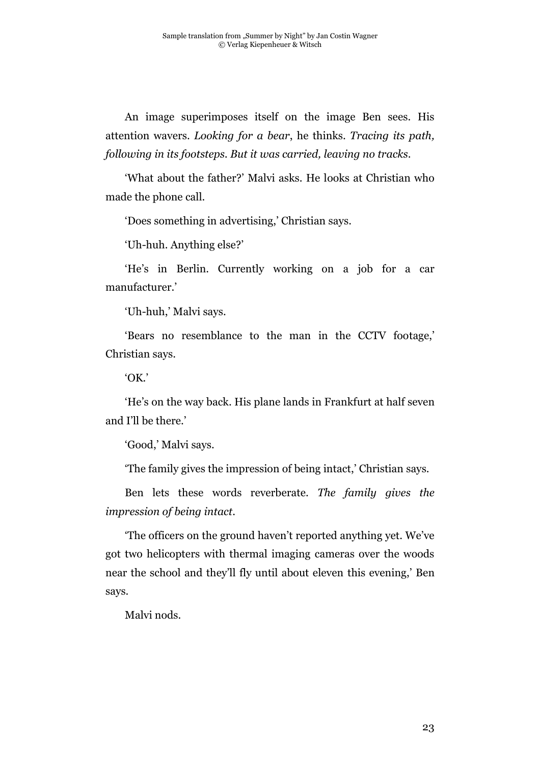An image superimposes itself on the image Ben sees. His attention wavers. *Looking for a bear*, he thinks. *Tracing its path, following in its footsteps. But it was carried, leaving no tracks*.

'What about the father?' Malvi asks. He looks at Christian who made the phone call.

'Does something in advertising,' Christian says.

'Uh-huh. Anything else?'

'He's in Berlin. Currently working on a job for a car manufacturer.'

'Uh-huh,' Malvi says.

'Bears no resemblance to the man in the CCTV footage,' Christian says.

'OK.'

'He's on the way back. His plane lands in Frankfurt at half seven and I'll be there.'

'Good,' Malvi says.

'The family gives the impression of being intact,' Christian says.

Ben lets these words reverberate. *The family gives the impression of being intact*.

'The officers on the ground haven't reported anything yet. We've got two helicopters with thermal imaging cameras over the woods near the school and they'll fly until about eleven this evening,' Ben says.

Malvi nods.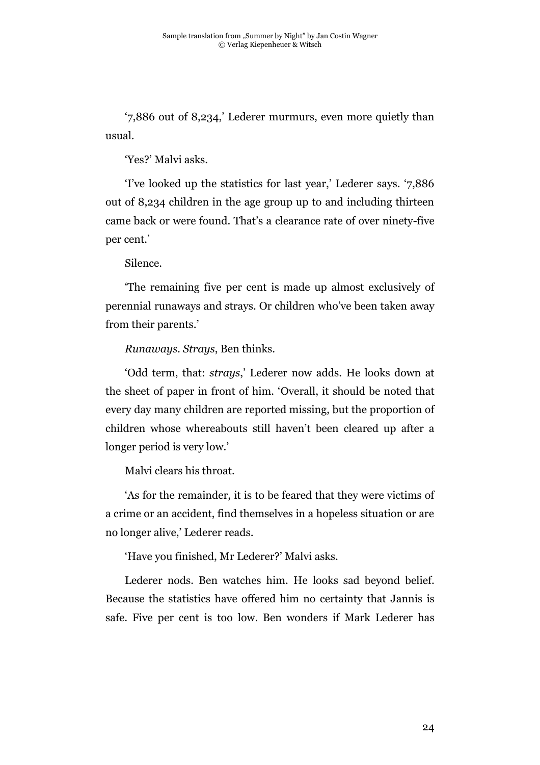'7,886 out of 8,234,' Lederer murmurs, even more quietly than usual.

'Yes?' Malvi asks.

'I've looked up the statistics for last year,' Lederer says. '7,886 out of 8,234 children in the age group up to and including thirteen came back or were found. That's a clearance rate of over ninety-five per cent.'

Silence.

'The remaining five per cent is made up almost exclusively of perennial runaways and strays. Or children who've been taken away from their parents.'

*Runaways. Strays*, Ben thinks.

'Odd term, that: *strays*,' Lederer now adds. He looks down at the sheet of paper in front of him. 'Overall, it should be noted that every day many children are reported missing, but the proportion of children whose whereabouts still haven't been cleared up after a longer period is very low.'

Malvi clears his throat.

'As for the remainder, it is to be feared that they were victims of a crime or an accident, find themselves in a hopeless situation or are no longer alive,' Lederer reads.

'Have you finished, Mr Lederer?' Malvi asks.

Lederer nods. Ben watches him. He looks sad beyond belief. Because the statistics have offered him no certainty that Jannis is safe. Five per cent is too low. Ben wonders if Mark Lederer has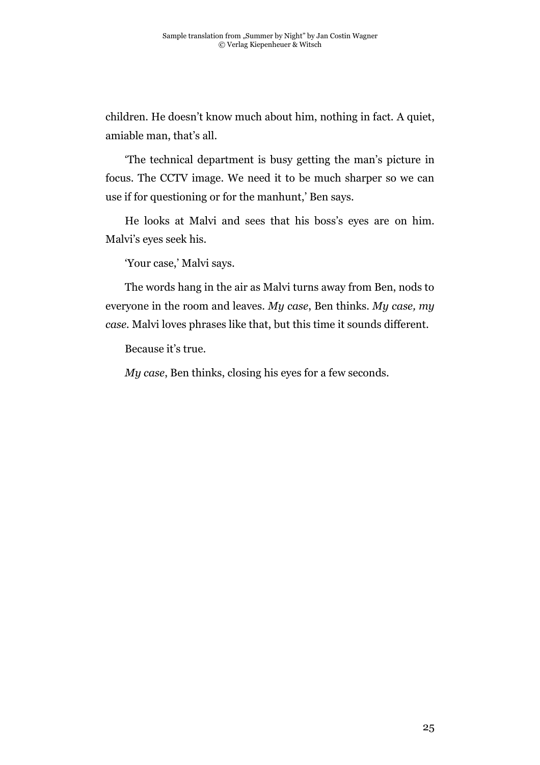children. He doesn't know much about him, nothing in fact. A quiet, amiable man, that's all.

'The technical department is busy getting the man's picture in focus. The CCTV image. We need it to be much sharper so we can use if for questioning or for the manhunt,' Ben says.

He looks at Malvi and sees that his boss's eyes are on him. Malvi's eyes seek his.

'Your case,' Malvi says.

The words hang in the air as Malvi turns away from Ben, nods to everyone in the room and leaves. *My case*, Ben thinks. *My case, my case.* Malvi loves phrases like that, but this time it sounds different.

Because it's true.

*My case*, Ben thinks, closing his eyes for a few seconds.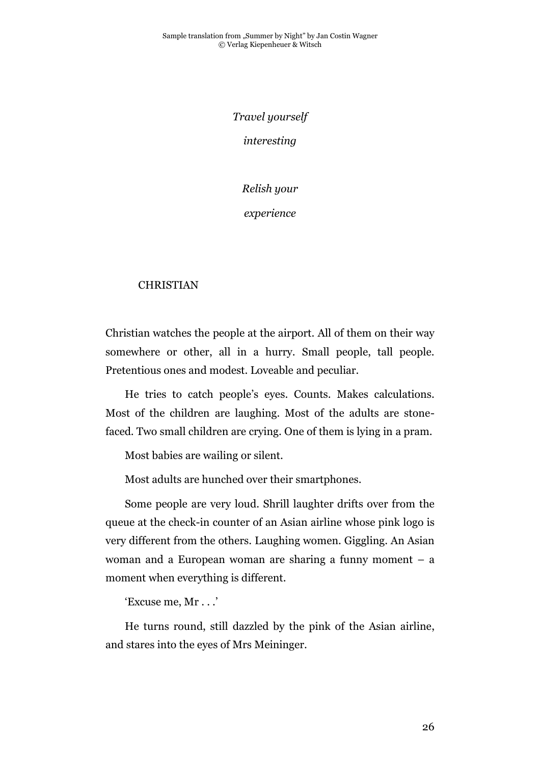*Travel yourself interesting*

*Relish your*

*experience*

## CHRISTIAN

Christian watches the people at the airport. All of them on their way somewhere or other, all in a hurry. Small people, tall people. Pretentious ones and modest. Loveable and peculiar.

He tries to catch people's eyes. Counts. Makes calculations. Most of the children are laughing. Most of the adults are stonefaced. Two small children are crying. One of them is lying in a pram.

Most babies are wailing or silent.

Most adults are hunched over their smartphones.

Some people are very loud. Shrill laughter drifts over from the queue at the check-in counter of an Asian airline whose pink logo is very different from the others. Laughing women. Giggling. An Asian woman and a European woman are sharing a funny moment – a moment when everything is different.

'Excuse me, Mr . . .'

He turns round, still dazzled by the pink of the Asian airline, and stares into the eyes of Mrs Meininger.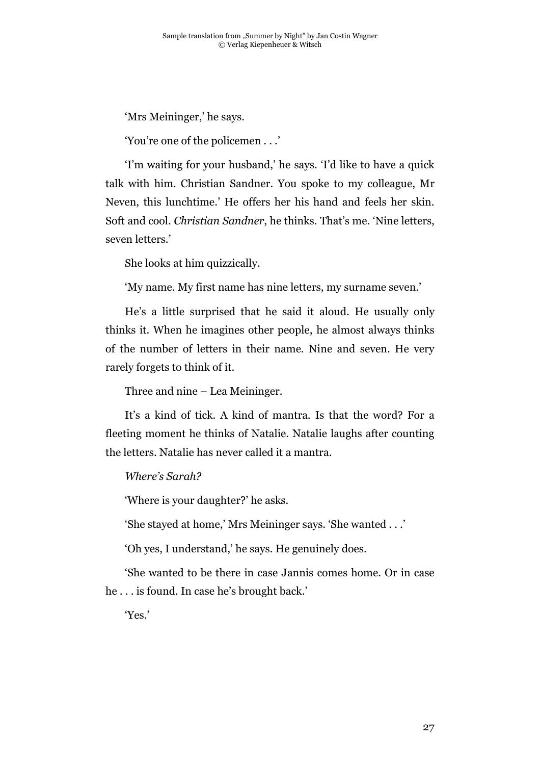'Mrs Meininger,' he says.

'You're one of the policemen . . .'

'I'm waiting for your husband,' he says. 'I'd like to have a quick talk with him. Christian Sandner. You spoke to my colleague, Mr Neven, this lunchtime.' He offers her his hand and feels her skin. Soft and cool. *Christian Sandner*, he thinks. That's me. 'Nine letters, seven letters.'

She looks at him quizzically.

'My name. My first name has nine letters, my surname seven.'

He's a little surprised that he said it aloud. He usually only thinks it. When he imagines other people, he almost always thinks of the number of letters in their name. Nine and seven. He very rarely forgets to think of it.

Three and nine – Lea Meininger.

It's a kind of tick. A kind of mantra. Is that the word? For a fleeting moment he thinks of Natalie. Natalie laughs after counting the letters. Natalie has never called it a mantra.

*Where's Sarah?*

'Where is your daughter?' he asks.

'She stayed at home,' Mrs Meininger says. 'She wanted . . .'

'Oh yes, I understand,' he says. He genuinely does.

'She wanted to be there in case Jannis comes home. Or in case he . . . is found. In case he's brought back.'

'Yes.'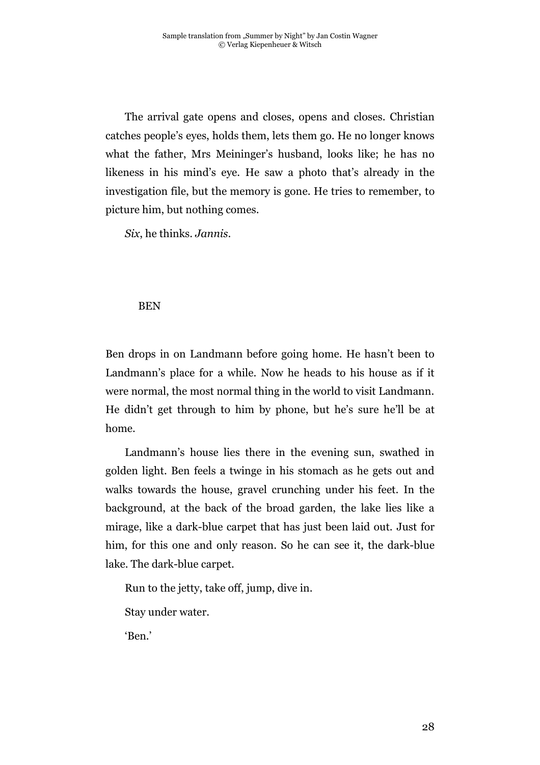The arrival gate opens and closes, opens and closes. Christian catches people's eyes, holds them, lets them go. He no longer knows what the father, Mrs Meininger's husband, looks like; he has no likeness in his mind's eye. He saw a photo that's already in the investigation file, but the memory is gone. He tries to remember, to picture him, but nothing comes.

*Six*, he thinks. *Jannis*.

### BEN

Ben drops in on Landmann before going home. He hasn't been to Landmann's place for a while. Now he heads to his house as if it were normal, the most normal thing in the world to visit Landmann. He didn't get through to him by phone, but he's sure he'll be at home.

Landmann's house lies there in the evening sun, swathed in golden light. Ben feels a twinge in his stomach as he gets out and walks towards the house, gravel crunching under his feet. In the background, at the back of the broad garden, the lake lies like a mirage, like a dark-blue carpet that has just been laid out. Just for him, for this one and only reason. So he can see it, the dark-blue lake. The dark-blue carpet.

Run to the jetty, take off, jump, dive in.

Stay under water.

'Ben.'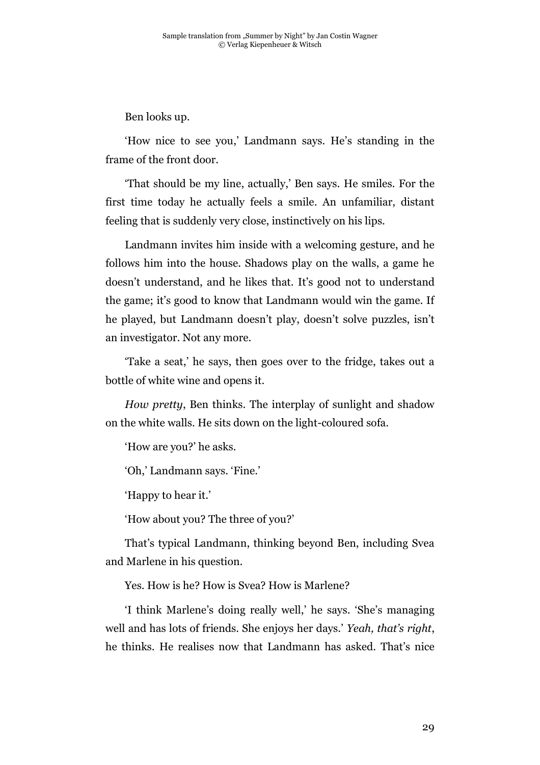Ben looks up.

'How nice to see you,' Landmann says. He's standing in the frame of the front door.

'That should be my line, actually,' Ben says. He smiles. For the first time today he actually feels a smile. An unfamiliar, distant feeling that is suddenly very close, instinctively on his lips.

Landmann invites him inside with a welcoming gesture, and he follows him into the house. Shadows play on the walls, a game he doesn't understand, and he likes that. It's good not to understand the game; it's good to know that Landmann would win the game. If he played, but Landmann doesn't play, doesn't solve puzzles, isn't an investigator. Not any more.

'Take a seat,' he says, then goes over to the fridge, takes out a bottle of white wine and opens it.

*How pretty*, Ben thinks. The interplay of sunlight and shadow on the white walls. He sits down on the light-coloured sofa.

'How are you?' he asks.

'Oh,' Landmann says. 'Fine.'

'Happy to hear it.'

'How about you? The three of you?'

That's typical Landmann, thinking beyond Ben, including Svea and Marlene in his question.

Yes. How is he? How is Svea? How is Marlene?

'I think Marlene's doing really well,' he says. 'She's managing well and has lots of friends. She enjoys her days.' *Yeah, that's right*, he thinks. He realises now that Landmann has asked. That's nice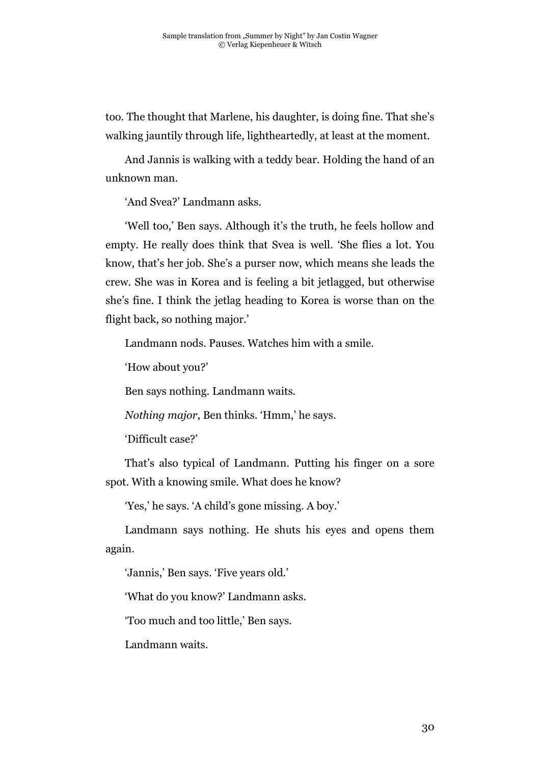too. The thought that Marlene, his daughter, is doing fine. That she's walking jauntily through life, lightheartedly, at least at the moment.

And Jannis is walking with a teddy bear. Holding the hand of an unknown man.

'And Svea?' Landmann asks.

'Well too,' Ben says. Although it's the truth, he feels hollow and empty. He really does think that Svea is well. 'She flies a lot. You know, that's her job. She's a purser now, which means she leads the crew. She was in Korea and is feeling a bit jetlagged, but otherwise she's fine. I think the jetlag heading to Korea is worse than on the flight back, so nothing major.'

Landmann nods. Pauses. Watches him with a smile.

'How about you?'

Ben says nothing. Landmann waits.

*Nothing major*, Ben thinks. 'Hmm,' he says.

'Difficult case?'

That's also typical of Landmann. Putting his finger on a sore spot. With a knowing smile. What does he know?

'Yes,' he says. 'A child's gone missing. A boy.'

Landmann says nothing. He shuts his eyes and opens them again.

'Jannis,' Ben says. 'Five years old.'

'What do you know?' Landmann asks.

'Too much and too little,' Ben says.

Landmann waits.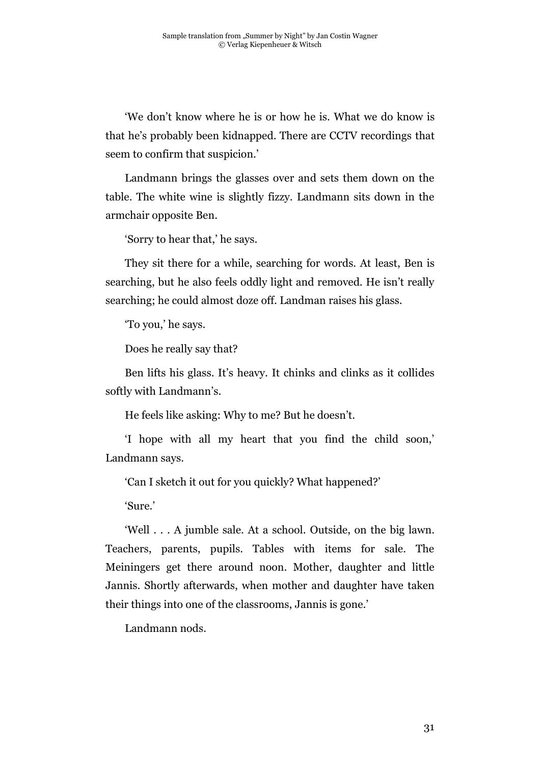'We don't know where he is or how he is. What we do know is that he's probably been kidnapped. There are CCTV recordings that seem to confirm that suspicion.'

Landmann brings the glasses over and sets them down on the table. The white wine is slightly fizzy. Landmann sits down in the armchair opposite Ben.

'Sorry to hear that,' he says.

They sit there for a while, searching for words. At least, Ben is searching, but he also feels oddly light and removed. He isn't really searching; he could almost doze off. Landman raises his glass.

'To you,' he says.

Does he really say that?

Ben lifts his glass. It's heavy. It chinks and clinks as it collides softly with Landmann's.

He feels like asking: Why to me? But he doesn't.

'I hope with all my heart that you find the child soon,' Landmann says.

'Can I sketch it out for you quickly? What happened?'

'Sure.'

'Well . . . A jumble sale. At a school. Outside, on the big lawn. Teachers, parents, pupils. Tables with items for sale. The Meiningers get there around noon. Mother, daughter and little Jannis. Shortly afterwards, when mother and daughter have taken their things into one of the classrooms, Jannis is gone.'

Landmann nods.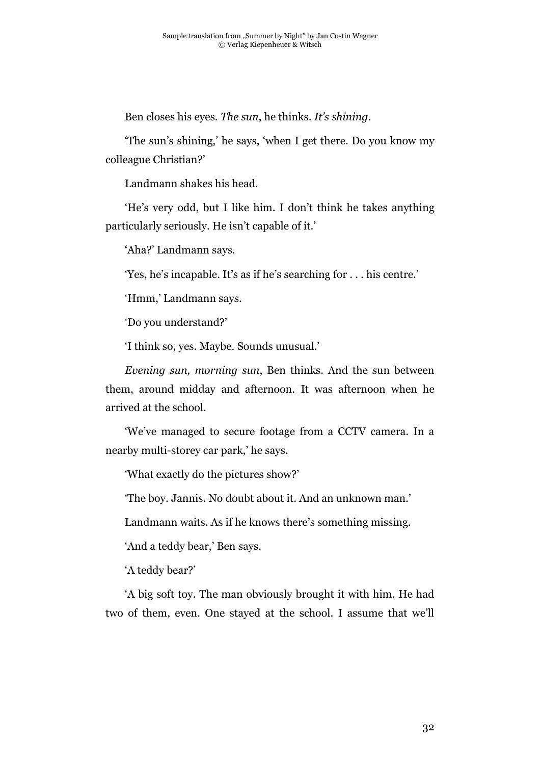Ben closes his eyes. *The sun*, he thinks. *It's shining*.

'The sun's shining,' he says, 'when I get there. Do you know my colleague Christian?'

Landmann shakes his head.

'He's very odd, but I like him. I don't think he takes anything particularly seriously. He isn't capable of it.'

'Aha?' Landmann says.

'Yes, he's incapable. It's as if he's searching for . . . his centre.'

'Hmm,' Landmann says.

'Do you understand?'

'I think so, yes. Maybe. Sounds unusual.'

*Evening sun, morning sun*, Ben thinks. And the sun between them, around midday and afternoon. It was afternoon when he arrived at the school.

'We've managed to secure footage from a CCTV camera. In a nearby multi-storey car park,' he says.

'What exactly do the pictures show?'

'The boy. Jannis. No doubt about it. And an unknown man.'

Landmann waits. As if he knows there's something missing.

'And a teddy bear,' Ben says.

'A teddy bear?'

'A big soft toy. The man obviously brought it with him. He had two of them, even. One stayed at the school. I assume that we'll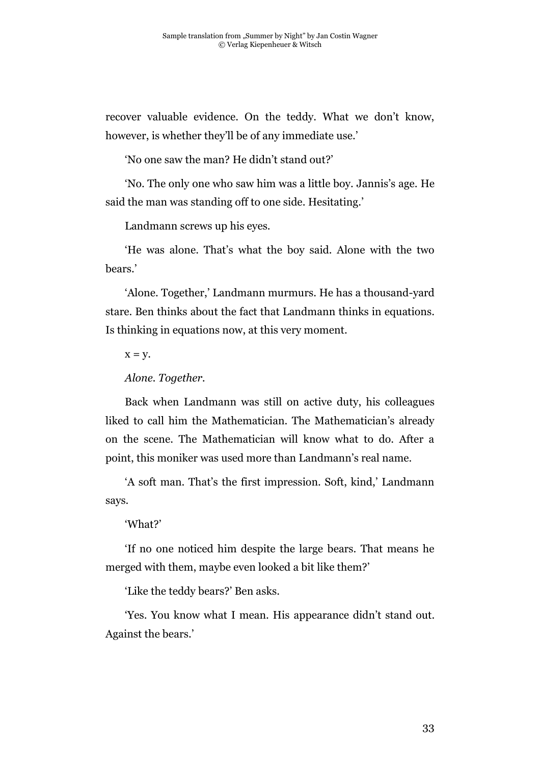recover valuable evidence. On the teddy. What we don't know, however, is whether they'll be of any immediate use.'

'No one saw the man? He didn't stand out?'

'No. The only one who saw him was a little boy. Jannis's age. He said the man was standing off to one side. Hesitating.'

Landmann screws up his eyes.

'He was alone. That's what the boy said. Alone with the two bears.'

'Alone. Together,' Landmann murmurs. He has a thousand-yard stare. Ben thinks about the fact that Landmann thinks in equations. Is thinking in equations now, at this very moment.

 $X = V$ .

*Alone. Together.*

Back when Landmann was still on active duty, his colleagues liked to call him the Mathematician. The Mathematician's already on the scene. The Mathematician will know what to do. After a point, this moniker was used more than Landmann's real name.

'A soft man. That's the first impression. Soft, kind,' Landmann says.

#### 'What?'

'If no one noticed him despite the large bears. That means he merged with them, maybe even looked a bit like them?'

'Like the teddy bears?' Ben asks.

'Yes. You know what I mean. His appearance didn't stand out. Against the bears.'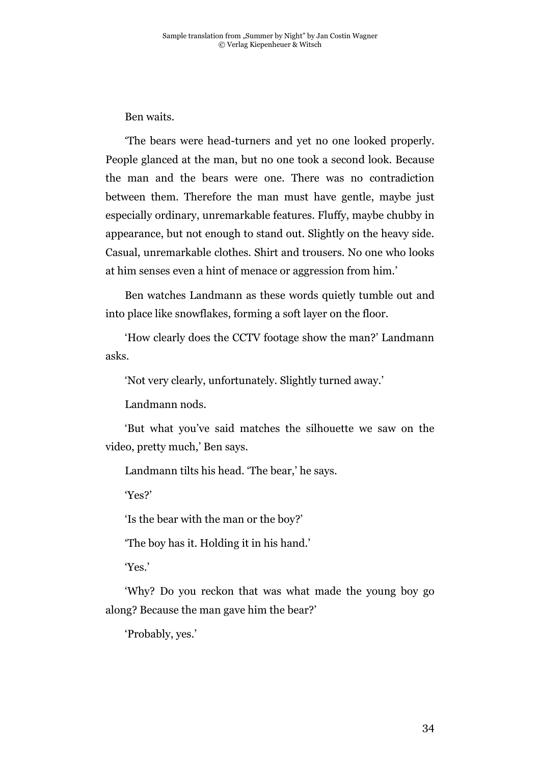Ben waits.

'The bears were head-turners and yet no one looked properly. People glanced at the man, but no one took a second look. Because the man and the bears were one. There was no contradiction between them. Therefore the man must have gentle, maybe just especially ordinary, unremarkable features. Fluffy, maybe chubby in appearance, but not enough to stand out. Slightly on the heavy side. Casual, unremarkable clothes. Shirt and trousers. No one who looks at him senses even a hint of menace or aggression from him.'

Ben watches Landmann as these words quietly tumble out and into place like snowflakes, forming a soft layer on the floor.

'How clearly does the CCTV footage show the man?' Landmann asks.

'Not very clearly, unfortunately. Slightly turned away.'

Landmann nods.

'But what you've said matches the silhouette we saw on the video, pretty much,' Ben says.

Landmann tilts his head. 'The bear,' he says.

'Yes?'

'Is the bear with the man or the boy?'

'The boy has it. Holding it in his hand.'

'Yes.'

'Why? Do you reckon that was what made the young boy go along? Because the man gave him the bear?'

'Probably, yes.'